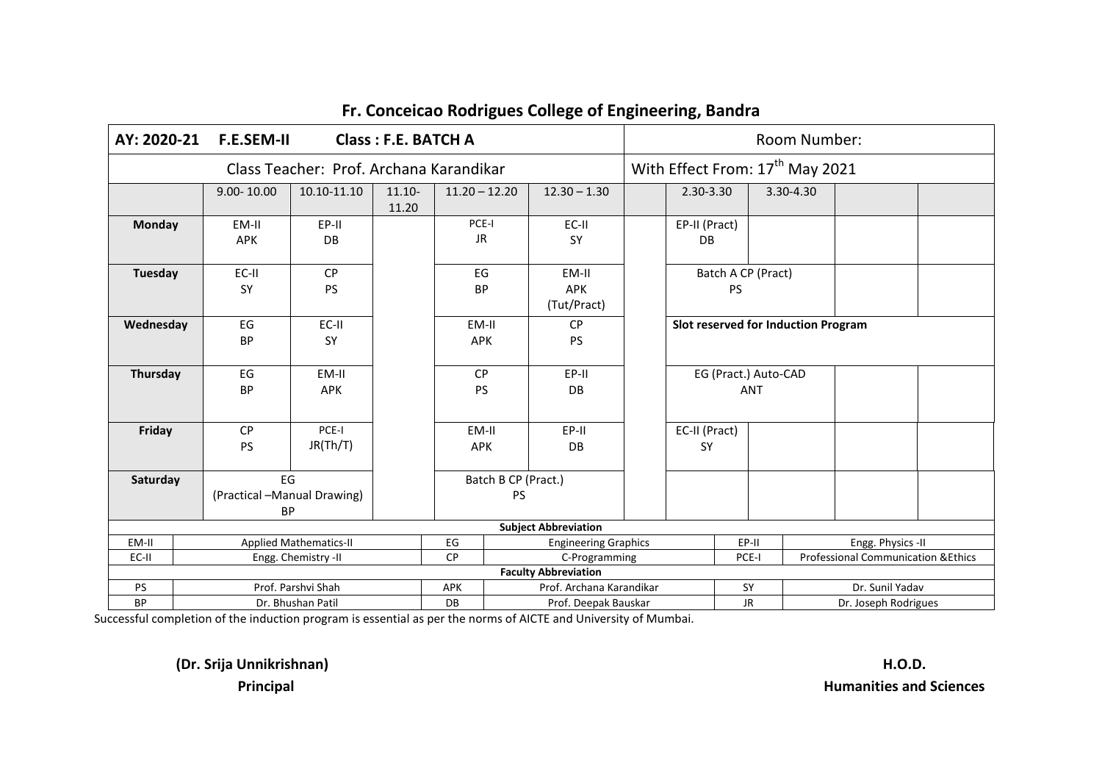| AY: 2020-21    | <b>F.E.SEM-II</b>                              | Class: F.E. BATCH A                     |                    | Room Number:                      |                                    |  |                     |                                     |           |                                             |                                                |  |  |  |  |  |
|----------------|------------------------------------------------|-----------------------------------------|--------------------|-----------------------------------|------------------------------------|--|---------------------|-------------------------------------|-----------|---------------------------------------------|------------------------------------------------|--|--|--|--|--|
|                | Class Teacher: Prof. Archana Karandikar        |                                         |                    |                                   |                                    |  |                     |                                     |           | With Effect From: 17 <sup>th</sup> May 2021 |                                                |  |  |  |  |  |
|                | $9.00 - 10.00$                                 | 10.10-11.10                             | $11.10 -$<br>11.20 | $11.20 - 12.20$                   | $12.30 - 1.30$                     |  | 2.30-3.30           |                                     | 3.30-4.30 |                                             |                                                |  |  |  |  |  |
| <b>Monday</b>  | EM-II<br><b>APK</b>                            | EP-II<br>DB                             |                    | PCE-I<br><b>JR</b>                | EC-II<br>SY                        |  | <b>DB</b>           | EP-II (Pract)                       |           |                                             |                                                |  |  |  |  |  |
| <b>Tuesday</b> | EC-II<br>SY                                    | <b>CP</b><br><b>PS</b>                  |                    | EG<br><b>BP</b>                   | EM-II<br><b>APK</b><br>(Tut/Pract) |  |                     | Batch A CP (Pract)<br><b>PS</b>     |           |                                             |                                                |  |  |  |  |  |
| Wednesday      | EG<br><b>BP</b>                                | EC-II<br><b>SY</b>                      |                    | EM-II<br><b>APK</b>               | <b>CP</b><br><b>PS</b>             |  |                     | Slot reserved for Induction Program |           |                                             |                                                |  |  |  |  |  |
| Thursday       | EG<br><b>BP</b>                                | EM-II<br><b>APK</b>                     |                    | <b>CP</b><br><b>PS</b>            | EP-II<br><b>DB</b>                 |  |                     | EG (Pract.) Auto-CAD<br><b>ANT</b>  |           |                                             |                                                |  |  |  |  |  |
| Friday         | <b>CP</b><br><b>PS</b>                         | PCE-I<br>JR(Th/T)                       |                    | EM-II<br><b>APK</b>               | EP-II<br>DB                        |  | EC-II (Pract)<br>SY |                                     |           |                                             |                                                |  |  |  |  |  |
| Saturday       | EG<br>(Practical -Manual Drawing)<br><b>BP</b> |                                         |                    |                                   | Batch B CP (Pract.)<br><b>PS</b>   |  |                     |                                     |           |                                             |                                                |  |  |  |  |  |
|                |                                                |                                         |                    |                                   | <b>Subject Abbreviation</b>        |  |                     |                                     |           |                                             |                                                |  |  |  |  |  |
| EM-II          |                                                | <b>Applied Mathematics-II</b>           |                    | EG                                | <b>Engineering Graphics</b>        |  |                     | EP-II                               |           |                                             | Engg. Physics -II                              |  |  |  |  |  |
| EC-II          |                                                | Engg. Chemistry -II                     |                    | <b>CP</b>                         | C-Programming                      |  |                     | PCE-I                               |           |                                             | <b>Professional Communication &amp; Ethics</b> |  |  |  |  |  |
|                |                                                |                                         |                    |                                   | <b>Faculty Abbreviation</b>        |  |                     |                                     |           |                                             |                                                |  |  |  |  |  |
| <b>PS</b>      |                                                | Prof. Parshvi Shah<br>Dr. Bhushan Patil |                    | <b>APK</b><br>DB                  | Prof. Archana Karandikar           |  |                     | SY                                  |           | Dr. Sunil Yadav                             |                                                |  |  |  |  |  |
| BP             |                                                | Prof. Deepak Bauskar                    |                    | <b>JR</b><br>Dr. Joseph Rodrigues |                                    |  |                     |                                     |           |                                             |                                                |  |  |  |  |  |

Successful completion of the induction program is essential as per the norms of AICTE and University of Mumbai.

**(Dr. Srija Unnikrishnan) H.O.D.**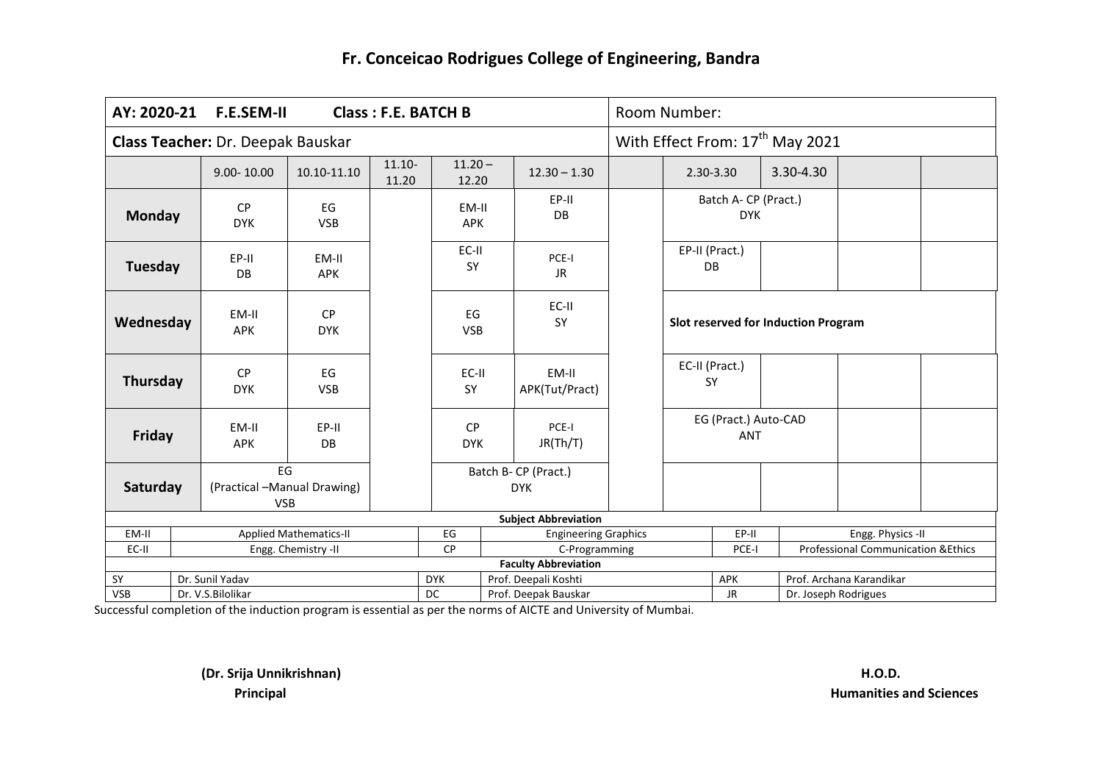| AY: 2020-21                                                 | <b>F.E.SEM-II</b><br>Class: F.E. BATCH B                    |                         |                               |       |                         |                                    |                                              |                                             | Room Number:                       |                                     |  |           |                                               |  |  |
|-------------------------------------------------------------|-------------------------------------------------------------|-------------------------|-------------------------------|-------|-------------------------|------------------------------------|----------------------------------------------|---------------------------------------------|------------------------------------|-------------------------------------|--|-----------|-----------------------------------------------|--|--|
| Class Teacher: Dr. Deepak Bauskar<br>$11.20 -$<br>$11.10 -$ |                                                             |                         |                               |       |                         |                                    |                                              | With Effect From: 17 <sup>th</sup> May 2021 |                                    |                                     |  |           |                                               |  |  |
|                                                             |                                                             | $9.00 - 10.00$          | 10.10-11.10                   | 11.20 | 12.20                   |                                    | $12.30 - 1.30$                               |                                             |                                    | 2.30-3.30                           |  | 3.30-4.30 |                                               |  |  |
| <b>Monday</b>                                               |                                                             | <b>CP</b><br><b>DYK</b> | EG<br><b>VSB</b>              |       | EM-II<br><b>APK</b>     |                                    | EP-II<br>DB                                  |                                             |                                    | Batch A- CP (Pract.)<br><b>DYK</b>  |  |           |                                               |  |  |
| Tuesday                                                     |                                                             | EP-II<br>DB             | EM-II<br><b>APK</b>           |       | EC-II<br><b>SY</b>      |                                    | PCE-I<br><b>JR</b>                           |                                             |                                    | EP-II (Pract.)<br>DB                |  |           |                                               |  |  |
| Wednesday                                                   |                                                             | EM-II<br><b>APK</b>     | <b>CP</b><br><b>DYK</b>       |       | EG<br><b>VSB</b>        |                                    | EC-II<br><b>SY</b>                           |                                             |                                    | Slot reserved for Induction Program |  |           |                                               |  |  |
| Thursday                                                    |                                                             | CP<br><b>DYK</b>        | EG<br><b>VSB</b>              |       | EC-II<br>SY             | EM-II<br>APK(Tut/Pract)            |                                              |                                             |                                    | EC-II (Pract.)<br><b>SY</b>         |  |           |                                               |  |  |
| <b>Friday</b>                                               |                                                             | EM-II<br><b>APK</b>     | EP-II<br>DB                   |       | <b>CP</b><br><b>DYK</b> |                                    | PCE-I<br>JR(Th/T)                            |                                             | EG (Pract.) Auto-CAD<br><b>ANT</b> |                                     |  |           |                                               |  |  |
|                                                             | EG<br>(Practical -Manual Drawing)<br>Saturday<br><b>VSB</b> |                         |                               |       |                         | Batch B- CP (Pract.)<br><b>DYK</b> |                                              |                                             |                                    |                                     |  |           |                                               |  |  |
|                                                             |                                                             |                         |                               |       |                         |                                    | <b>Subject Abbreviation</b>                  |                                             |                                    |                                     |  |           |                                               |  |  |
| EM-II                                                       |                                                             |                         | <b>Applied Mathematics-II</b> |       | EG                      |                                    | <b>Engineering Graphics</b>                  |                                             |                                    | EP-II                               |  |           | Engg. Physics -II                             |  |  |
| EC-II                                                       |                                                             |                         | Engg. Chemistry -II           |       | <b>CP</b>               |                                    | C-Programming                                |                                             |                                    | PCE-I                               |  |           | <b>Professional Communication &amp;Ethics</b> |  |  |
|                                                             |                                                             | Dr. Sunil Yadav         |                               |       | <b>DYK</b>              |                                    | <b>Faculty Abbreviation</b>                  |                                             |                                    | <b>APK</b>                          |  |           | Prof. Archana Karandikar                      |  |  |
| SY<br><b>VSB</b>                                            |                                                             |                         |                               |       | DC                      |                                    | Prof. Deepali Koshti<br>Prof. Deepak Bauskar |                                             |                                    | <b>JR</b>                           |  |           |                                               |  |  |
|                                                             | Dr. V.S.Bilolikar                                           |                         |                               |       |                         |                                    |                                              |                                             |                                    | Dr. Joseph Rodrigues                |  |           |                                               |  |  |

Successful completion of the induction program is essential as per the norms of AICTE and University of Mumbai.

**(Dr. Srija Unnikrishnan) H.O.D.**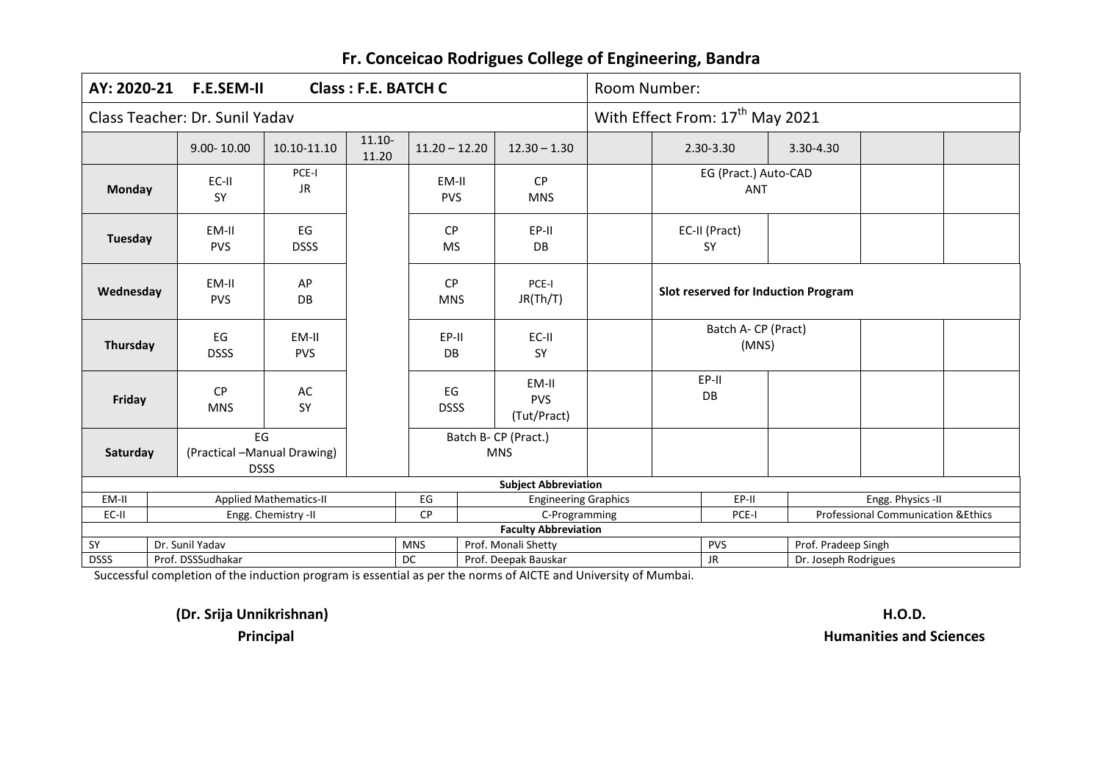|             | AY: 2020-21<br><b>F.E.SEM-II</b><br><b>Class: F.E. BATCH C</b>                         |                               |                    |                                         |  |                             |                                    |                                             | Room Number:                        |           |                     |                                               |  |  |  |
|-------------|----------------------------------------------------------------------------------------|-------------------------------|--------------------|-----------------------------------------|--|-----------------------------|------------------------------------|---------------------------------------------|-------------------------------------|-----------|---------------------|-----------------------------------------------|--|--|--|
|             | Class Teacher: Dr. Sunil Yadav                                                         |                               |                    |                                         |  |                             |                                    | With Effect From: 17 <sup>th</sup> May 2021 |                                     |           |                     |                                               |  |  |  |
|             | $9.00 - 10.00$                                                                         | 10.10-11.10                   | $11.10 -$<br>11.20 | $11.20 - 12.20$<br>$12.30 - 1.30$       |  |                             |                                    | 2.30-3.30                                   |                                     | 3.30-4.30 |                     |                                               |  |  |  |
| Monday      | EC-II<br><b>SY</b>                                                                     | PCE-I<br>JR                   |                    | CP<br>EM-II<br><b>PVS</b><br><b>MNS</b> |  |                             | EG (Pract.) Auto-CAD<br><b>ANT</b> |                                             |                                     |           |                     |                                               |  |  |  |
| Tuesday     | EM-II<br><b>PVS</b>                                                                    | EG<br><b>DSSS</b>             |                    | <b>CP</b><br><b>MS</b>                  |  | EP-II<br>DB                 |                                    |                                             | EC-II (Pract)<br><b>SY</b>          |           |                     |                                               |  |  |  |
| Wednesday   | EM-II<br><b>PVS</b>                                                                    | AP<br>DB                      |                    | <b>CP</b><br><b>MNS</b>                 |  | PCE-I<br>JR(Th/T)           |                                    |                                             | Slot reserved for Induction Program |           |                     |                                               |  |  |  |
| Thursday    | EG<br><b>DSSS</b>                                                                      | EM-II<br><b>PVS</b>           |                    | EP-II<br>EC-II<br>DB<br><b>SY</b>       |  |                             | Batch A- CP (Pract)<br>(MNS)       |                                             |                                     |           |                     |                                               |  |  |  |
| Friday      | <b>CP</b><br><b>MNS</b>                                                                | AC<br>SY                      |                    | EG<br><b>DSSS</b>                       |  | EM-II<br>PVS<br>(Tut/Pract) |                                    | EP-II<br>DB                                 |                                     |           |                     |                                               |  |  |  |
| Saturday    | EG<br>Batch B- CP (Pract.)<br>(Practical -Manual Drawing)<br><b>MNS</b><br><b>DSSS</b> |                               |                    |                                         |  |                             |                                    |                                             |                                     |           |                     |                                               |  |  |  |
|             |                                                                                        |                               |                    |                                         |  | <b>Subject Abbreviation</b> |                                    |                                             |                                     |           |                     |                                               |  |  |  |
| EM-II       |                                                                                        | <b>Applied Mathematics-II</b> |                    | $\mathsf{E}\mathsf{G}$                  |  | <b>Engineering Graphics</b> |                                    |                                             | EP-II                               |           |                     | Engg. Physics -II                             |  |  |  |
| EC-II       |                                                                                        | Engg. Chemistry -II           |                    | CP                                      |  | C-Programming               |                                    |                                             | PCE-I                               |           |                     | <b>Professional Communication &amp;Ethics</b> |  |  |  |
|             |                                                                                        |                               |                    |                                         |  | <b>Faculty Abbreviation</b> |                                    |                                             |                                     |           |                     |                                               |  |  |  |
| SY          | Dr. Sunil Yadav                                                                        |                               |                    | <b>MNS</b>                              |  | Prof. Monali Shetty         |                                    |                                             | PVS                                 |           | Prof. Pradeep Singh |                                               |  |  |  |
| <b>DSSS</b> | Prof. DSSSudhakar<br>DC<br>Prof. Deepak Bauskar                                        |                               |                    |                                         |  |                             |                                    | <b>JR</b><br>Dr. Joseph Rodrigues           |                                     |           |                     |                                               |  |  |  |

Successful completion of the induction program is essential as per the norms of AICTE and University of Mumbai.

**(Dr. Srija Unnikrishnan) H.O.D.**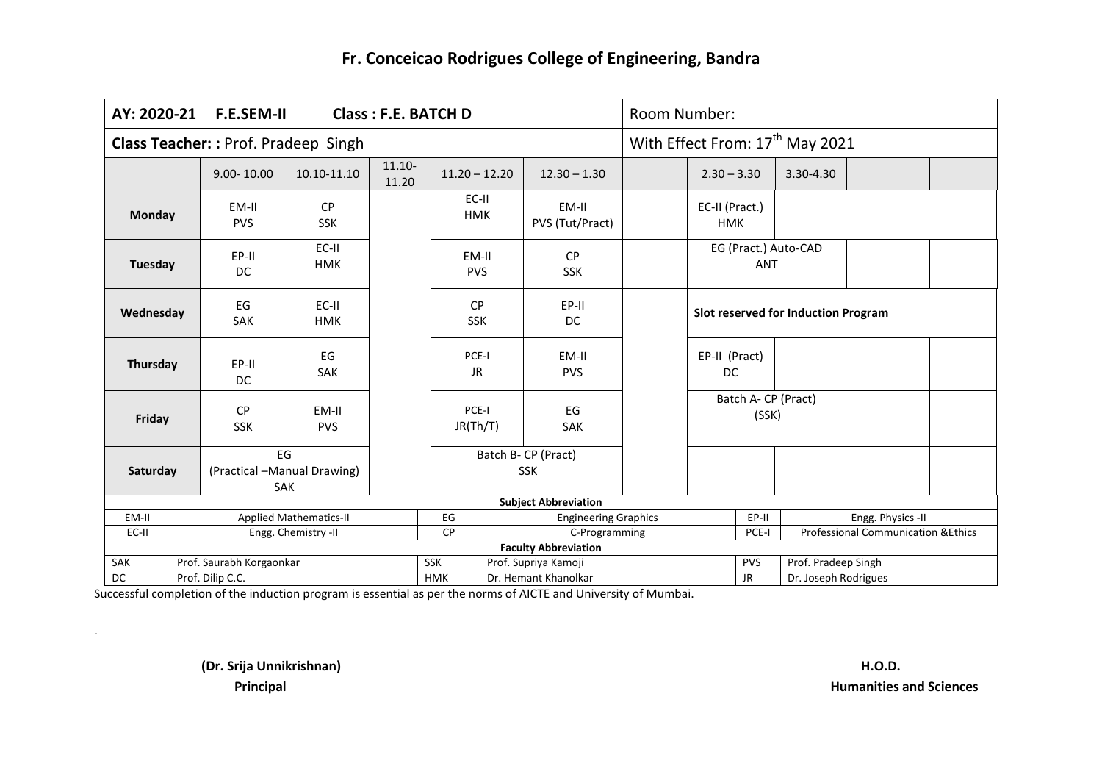| AY: 2020-21                                | <b>F.E.SEM-II</b><br><b>Class: F.E. BATCH D</b> |                                          |                               |                    |                         |                      |                                   |                                             | Room Number:                        |               |                                                |  |  |  |  |
|--------------------------------------------|-------------------------------------------------|------------------------------------------|-------------------------------|--------------------|-------------------------|----------------------|-----------------------------------|---------------------------------------------|-------------------------------------|---------------|------------------------------------------------|--|--|--|--|
| <b>Class Teacher:: Prof. Pradeep Singh</b> |                                                 |                                          |                               |                    |                         |                      |                                   | With Effect From: 17 <sup>th</sup> May 2021 |                                     |               |                                                |  |  |  |  |
|                                            |                                                 | $9.00 - 10.00$                           | 10.10-11.10                   | $11.10 -$<br>11.20 | $11.20 - 12.20$         |                      | $12.30 - 1.30$                    |                                             | $2.30 - 3.30$                       | $3.30 - 4.30$ |                                                |  |  |  |  |
| Monday                                     |                                                 | EM-II<br><b>PVS</b>                      | <b>CP</b><br><b>SSK</b>       |                    | EC-II<br><b>HMK</b>     |                      | EM-II<br>PVS (Tut/Pract)          |                                             | EC-II (Pract.)<br><b>HMK</b>        |               |                                                |  |  |  |  |
| Tuesday                                    |                                                 | EP-II<br><b>DC</b>                       | EC-II<br><b>HMK</b>           |                    | EM-II<br><b>PVS</b>     |                      | <b>CP</b><br><b>SSK</b>           |                                             | EG (Pract.) Auto-CAD<br><b>ANT</b>  |               |                                                |  |  |  |  |
| Wednesday                                  |                                                 | EG<br>SAK                                | EC-II<br><b>HMK</b>           |                    | <b>CP</b><br><b>SSK</b> |                      | EP-II<br><b>DC</b>                |                                             | Slot reserved for Induction Program |               |                                                |  |  |  |  |
| Thursday                                   |                                                 | EP-II<br>DC                              | EG<br><b>SAK</b>              |                    | PCE-I<br><b>JR</b>      |                      | EM-II<br><b>PVS</b>               |                                             | EP-II (Pract)<br><b>DC</b>          |               |                                                |  |  |  |  |
|                                            | Friday                                          |                                          | EM-II<br><b>PVS</b>           |                    | PCE-I<br>JR(Th/T)       |                      | EG<br><b>SAK</b>                  |                                             | Batch A- CP (Pract)<br>(SSK)        |               |                                                |  |  |  |  |
| Saturday                                   |                                                 | EG<br>(Practical -Manual Drawing)<br>SAK |                               |                    |                         |                      | Batch B- CP (Pract)<br><b>SSK</b> |                                             |                                     |               |                                                |  |  |  |  |
|                                            |                                                 |                                          |                               |                    |                         |                      | <b>Subject Abbreviation</b>       |                                             |                                     |               |                                                |  |  |  |  |
| EM-II                                      |                                                 |                                          | <b>Applied Mathematics-II</b> |                    | EG                      |                      | <b>Engineering Graphics</b>       |                                             | EP-II                               |               | Engg. Physics -II                              |  |  |  |  |
| EC-II                                      |                                                 |                                          | Engg. Chemistry -II           |                    | <b>CP</b>               |                      | C-Programming                     |                                             | PCE-I                               |               | <b>Professional Communication &amp; Ethics</b> |  |  |  |  |
|                                            |                                                 |                                          |                               |                    |                         |                      | <b>Faculty Abbreviation</b>       |                                             |                                     |               |                                                |  |  |  |  |
| SAK                                        |                                                 | Prof. Saurabh Korgaonkar                 |                               |                    | <b>SSK</b>              |                      | Prof. Supriya Kamoji              |                                             | <b>PVS</b><br><b>JR</b>             |               | Prof. Pradeep Singh                            |  |  |  |  |
| DC                                         | Prof. Dilip C.C.<br><b>HMK</b>                  |                                          |                               |                    |                         | Dr. Hemant Khanolkar |                                   |                                             |                                     |               | Dr. Joseph Rodrigues                           |  |  |  |  |

Successful completion of the induction program is essential as per the norms of AICTE and University of Mumbai.

**(Dr. Srija Unnikrishnan) H.O.D.**

.